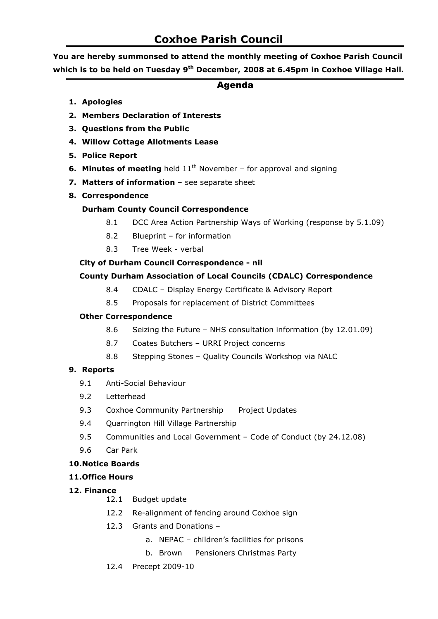# Coxhoe Parish Council

You are hereby summonsed to attend the monthly meeting of Coxhoe Parish Council which is to be held on Tuesday 9<sup>th</sup> December, 2008 at 6.45pm in Coxhoe Village Hall.

# Agenda

- 1. Apologies
- 2. Members Declaration of Interests
- 3. Questions from the Public
- 4. Willow Cottage Allotments Lease
- 5. Police Report
- **6. Minutes of meeting** held  $11<sup>th</sup>$  November for approval and signing
- 7. Matters of information see separate sheet
- 8. Correspondence

# Durham County Council Correspondence

- 8.1 DCC Area Action Partnership Ways of Working (response by 5.1.09)
- 8.2 Blueprint for information
- 8.3 Tree Week verbal

# City of Durham Council Correspondence - nil

# County Durham Association of Local Councils (CDALC) Correspondence

- 8.4 CDALC Display Energy Certificate & Advisory Report
- 8.5 Proposals for replacement of District Committees

#### Other Correspondence

- 8.6 Seizing the Future NHS consultation information (by 12.01.09)
- 8.7 Coates Butchers URRI Project concerns
- 8.8 Stepping Stones Quality Councils Workshop via NALC

#### 9. Reports

- 9.1 Anti-Social Behaviour
- 9.2 Letterhead
- 9.3 Coxhoe Community Partnership Project Updates
- 9.4 Ouarrington Hill Village Partnership
- 9.5 Communities and Local Government Code of Conduct (by 24.12.08)
- 9.6 Car Park

# 10.Notice Boards

# 11.Office Hours

# 12. Finance

- 12.1 Budget update
- 12.2 Re-alignment of fencing around Coxhoe sign
- 12.3 Grants and Donations
	- a. NEPAC children's facilities for prisons
	- b. Brown Pensioners Christmas Party
- 12.4 Precept 2009-10